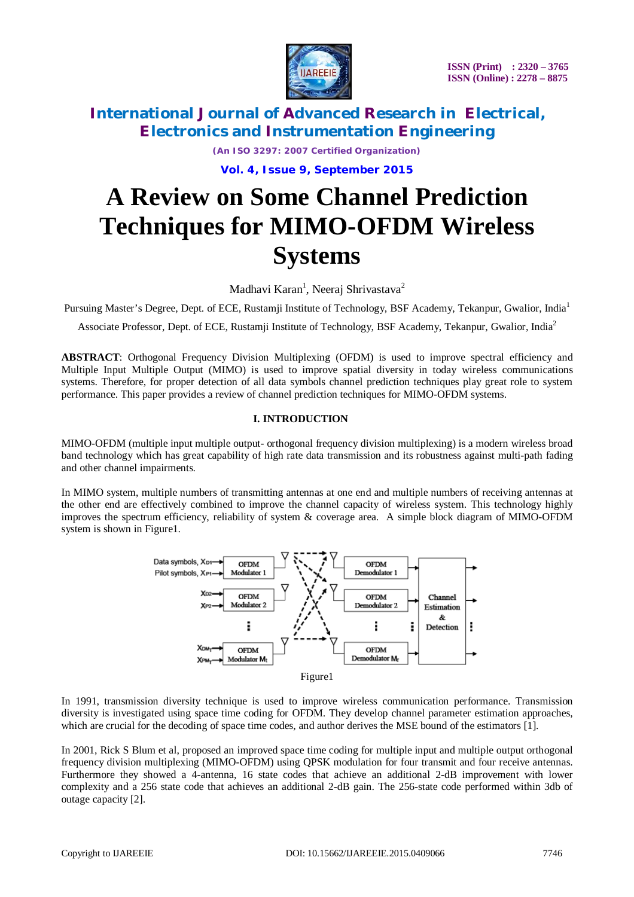

*(An ISO 3297: 2007 Certified Organization)* **Vol. 4, Issue 9, September 2015**

# **A Review on Some Channel Prediction Techniques for MIMO-OFDM Wireless Systems**

Madhavi Karan<sup>1</sup>, Neeraj Shrivastava<sup>2</sup>

Pursuing Master's Degree, Dept. of ECE, Rustamji Institute of Technology, BSF Academy, Tekanpur, Gwalior, India<sup>1</sup>

Associate Professor, Dept. of ECE, Rustamji Institute of Technology, BSF Academy, Tekanpur, Gwalior, India<sup>2</sup>

**ABSTRACT**: Orthogonal Frequency Division Multiplexing (OFDM) is used to improve spectral efficiency and Multiple Input Multiple Output (MIMO) is used to improve spatial diversity in today wireless communications systems. Therefore, for proper detection of all data symbols channel prediction techniques play great role to system performance. This paper provides a review of channel prediction techniques for MIMO-OFDM systems.

#### **I. INTRODUCTION**

MIMO-OFDM (multiple input multiple output- orthogonal frequency division multiplexing) is a modern wireless broad band technology which has great capability of high rate data transmission and its robustness against multi-path fading and other channel impairments.

In MIMO system, multiple numbers of transmitting antennas at one end and multiple numbers of receiving antennas at the other end are effectively combined to improve the channel capacity of wireless system. This technology highly improves the spectrum efficiency, reliability of system & coverage area. A simple block diagram of MIMO-OFDM system is shown in Figure1.



In 1991, transmission diversity technique is used to improve wireless communication performance. Transmission diversity is investigated using space time coding for OFDM. They develop channel parameter estimation approaches, which are crucial for the decoding of space time codes, and author derives the MSE bound of the estimators [1].

In 2001, Rick S Blum et al, proposed an improved space time coding for multiple input and multiple output orthogonal frequency division multiplexing (MIMO-OFDM) using QPSK modulation for four transmit and four receive antennas. Furthermore they showed a 4-antenna, 16 state codes that achieve an additional 2-dB improvement with lower complexity and a 256 state code that achieves an additional 2-dB gain. The 256-state code performed within 3db of outage capacity [2].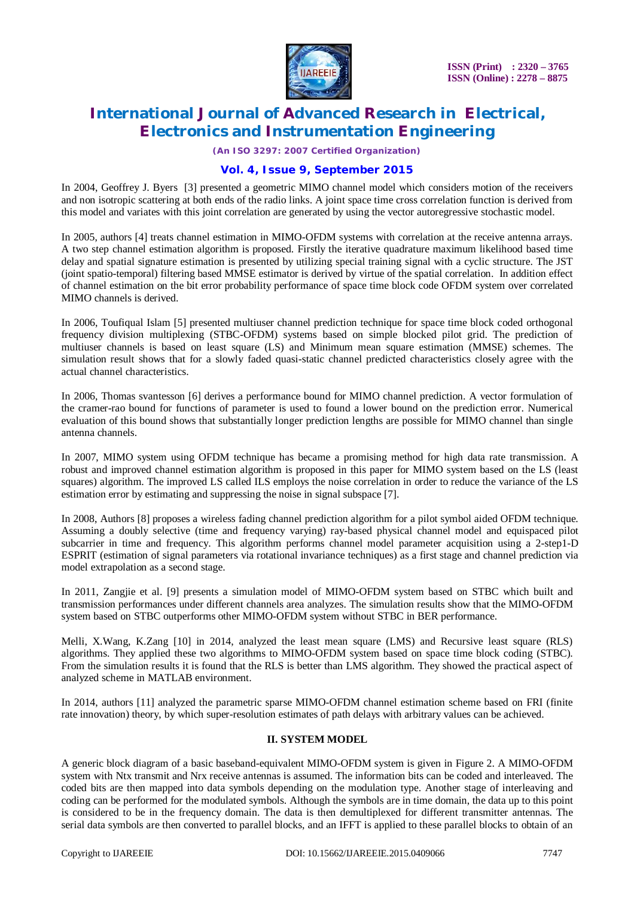

*(An ISO 3297: 2007 Certified Organization)*

#### **Vol. 4, Issue 9, September 2015**

In 2004, Geoffrey J. Byers [3] presented a geometric MIMO channel model which considers motion of the receivers and non isotropic scattering at both ends of the radio links. A joint space time cross correlation function is derived from this model and variates with this joint correlation are generated by using the vector autoregressive stochastic model.

In 2005, authors [4] treats channel estimation in MIMO-OFDM systems with correlation at the receive antenna arrays. A two step channel estimation algorithm is proposed. Firstly the iterative quadrature maximum likelihood based time delay and spatial signature estimation is presented by utilizing special training signal with a cyclic structure. The JST (joint spatio-temporal) filtering based MMSE estimator is derived by virtue of the spatial correlation. In addition effect of channel estimation on the bit error probability performance of space time block code OFDM system over correlated MIMO channels is derived.

In 2006, Toufiqual Islam [5] presented multiuser channel prediction technique for space time block coded orthogonal frequency division multiplexing (STBC-OFDM) systems based on simple blocked pilot grid. The prediction of multiuser channels is based on least square (LS) and Minimum mean square estimation (MMSE) schemes. The simulation result shows that for a slowly faded quasi-static channel predicted characteristics closely agree with the actual channel characteristics.

In 2006, Thomas svantesson [6] derives a performance bound for MIMO channel prediction. A vector formulation of the cramer-rao bound for functions of parameter is used to found a lower bound on the prediction error. Numerical evaluation of this bound shows that substantially longer prediction lengths are possible for MIMO channel than single antenna channels.

In 2007, MIMO system using OFDM technique has became a promising method for high data rate transmission. A robust and improved channel estimation algorithm is proposed in this paper for MIMO system based on the LS (least squares) algorithm. The improved LS called ILS employs the noise correlation in order to reduce the variance of the LS estimation error by estimating and suppressing the noise in signal subspace [7].

In 2008, Authors [8] proposes a wireless fading channel prediction algorithm for a pilot symbol aided OFDM technique. Assuming a doubly selective (time and frequency varying) ray-based physical channel model and equispaced pilot subcarrier in time and frequency. This algorithm performs channel model parameter acquisition using a 2-step1-D ESPRIT (estimation of signal parameters via rotational invariance techniques) as a first stage and channel prediction via model extrapolation as a second stage.

In 2011, Zangjie et al. [9] presents a simulation model of MIMO-OFDM system based on STBC which built and transmission performances under different channels area analyzes. The simulation results show that the MIMO-OFDM system based on STBC outperforms other MIMO-OFDM system without STBC in BER performance.

Melli, X.Wang, K.Zang [10] in 2014, analyzed the least mean square (LMS) and Recursive least square (RLS) algorithms. They applied these two algorithms to MIMO-OFDM system based on space time block coding (STBC). From the simulation results it is found that the RLS is better than LMS algorithm. They showed the practical aspect of analyzed scheme in MATLAB environment.

In 2014, authors [11] analyzed the parametric sparse MIMO-OFDM channel estimation scheme based on FRI (finite rate innovation) theory, by which super-resolution estimates of path delays with arbitrary values can be achieved.

#### **II. SYSTEM MODEL**

A generic block diagram of a basic baseband-equivalent MIMO-OFDM system is given in Figure 2. A MIMO-OFDM system with Ntx transmit and Nrx receive antennas is assumed. The information bits can be coded and interleaved. The coded bits are then mapped into data symbols depending on the modulation type. Another stage of interleaving and coding can be performed for the modulated symbols. Although the symbols are in time domain, the data up to this point is considered to be in the frequency domain. The data is then demultiplexed for different transmitter antennas. The serial data symbols are then converted to parallel blocks, and an IFFT is applied to these parallel blocks to obtain of an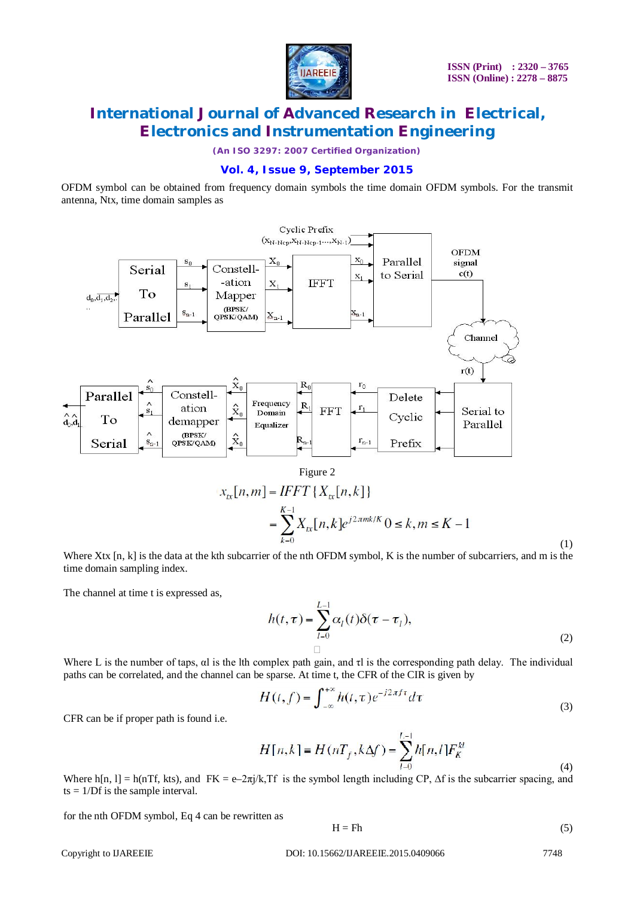

*(An ISO 3297: 2007 Certified Organization)*

#### **Vol. 4, Issue 9, September 2015**

OFDM symbol can be obtained from frequency domain symbols the time domain OFDM symbols. For the transmit antenna, Ntx, time domain samples as



$$
\begin{aligned} \n\kappa[n,m] &= IFFT\{X_{\kappa}[n,k]\} \\ \n&= \sum_{k=0}^{K-1} X_{\kappa}[n,k] e^{j2\pi mk/K} \, 0 \le k, m \le K-1 \n\end{aligned}
$$

Where Xtx [n, k] is the data at the kth subcarrier of the nth OFDM symbol, K is the number of subcarriers, and m is the time domain sampling index.

The channel at time t is expressed as,

$$
h(t,\tau) = \sum_{l=0}^{L-1} \alpha_l(t)\delta(\tau - \tau_l),
$$
\n<sup>(2)</sup>

Where L is the number of taps, αl is the lth complex path gain, and τl is the corresponding path delay. The individual paths can be correlated, and the channel can be sparse. At time t, the CFR of the CIR is given by

$$
H(t,f) = \int_{-\infty}^{+\infty} h(t,\tau)e^{-j2\pi ft}d\tau
$$
\n(3)

CFR can be if proper path is found i.e.

$$
H[n,k] = H(nT_f, k\Delta f) = \sum_{l=0}^{L-1} h[n,l] F_K^{kl}
$$
\n(4)

Where h[n, l] = h(nTf, kts), and FK = e–2 $\pi j/k$ , Tf is the symbol length including CP,  $\Delta f$  is the subcarrier spacing, and  $ts = 1/Df$  is the sample interval.

for the nth OFDM symbol, Eq 4 can be rewritten as

$$
H = Fh \tag{5}
$$

Copyright to IJAREEIE DOI: 10.15662/IJAREEIE.2015.0409066 7748

(1)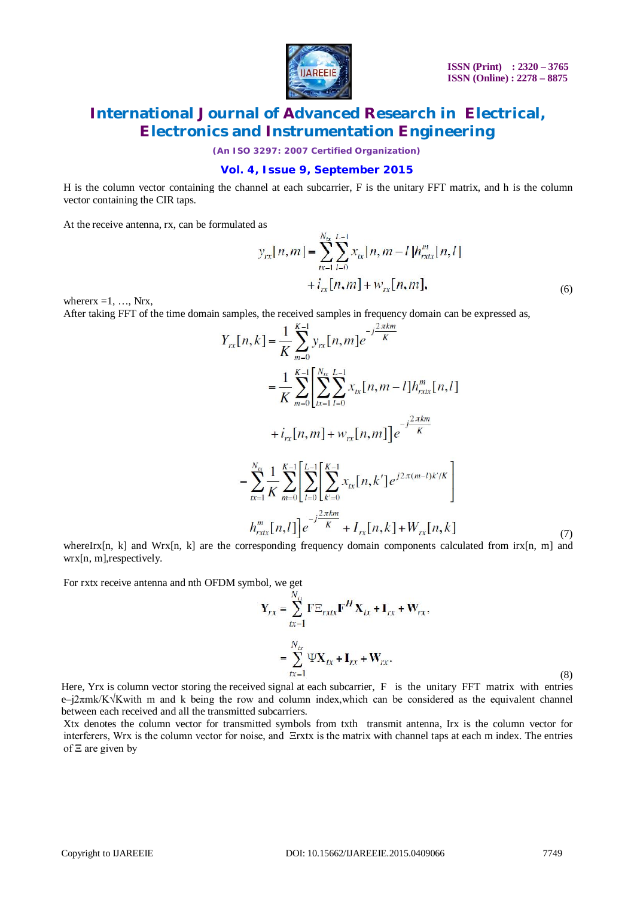

*(An ISO 3297: 2007 Certified Organization)*

#### **Vol. 4, Issue 9, September 2015**

H is the column vector containing the channel at each subcarrier, F is the unitary FFT matrix, and h is the column vector containing the CIR taps.

At the receive antenna, rx, can be formulated as

$$
y_{rx}[n,m] = \sum_{k=1}^{N_{\alpha}} \sum_{l=0}^{L-1} x_{tx}[n,m-l]h_{rxtx}^{m}[n,l] + i_{rx}[n,m] + w_{rx}[n,m],
$$
\n(6)

where  $x = 1, \ldots, Nrx$ ,

After taking FFT of the time domain samples, the received samples in frequency domain can be expressed as,

$$
Y_{rx}[n,k] = \frac{1}{K} \sum_{m=0}^{K-1} y_{rx}[n,m] e^{-j\frac{2\pi km}{K}}
$$
  
\n
$$
= \frac{1}{K} \sum_{m=0}^{K-1} \left[ \sum_{k=1}^{N_K} \sum_{l=0}^{L-1} x_{tx}[n,m-l] h_{rxt}^m[n,l] + i_{rx}[n,m] + w_{rx}[n,m] \right] e^{-j\frac{2\pi km}{K}}
$$
  
\n
$$
= \sum_{k=1}^{N_K} \frac{1}{K} \sum_{m=0}^{K-1} \left[ \sum_{l=0}^{L-1} \left[ \sum_{k'=0}^{K-1} x_{tx}[n,k'] e^{j2\pi(m-l)k'/K} \right] + i_{rx}[n,l] \right] e^{-j\frac{2\pi km}{K}} + I_{rx}[n,k] + W_{rx}[n,k] \tag{7}
$$

whereIrx[n, k] and Wrx[n, k] are the corresponding frequency domain components calculated from irx[n, m] and wrx[n, m],respectively.

For rxtx receive antenna and nth OFDM symbol, we get

$$
\mathbf{Y}_{rx} = \sum_{tx=1}^{N_{tx}} \mathbf{F} \mathbf{\Xi}_{rxtx} \mathbf{F}^H \mathbf{X}_{tx} + \mathbf{I}_{rx} + \mathbf{W}_{rx},
$$
\n
$$
= \sum_{tx=1}^{N_{tx}} \Psi \mathbf{X}_{tx} + \mathbf{I}_{rx} + \mathbf{W}_{rx}.
$$
\n
$$
\text{and signal at each subcarrier. } \mathbf{F} \text{ is the unitary EFT matrix with entries.}
$$
\n(8)

Here, Yrx is column vector storing the received signal at each subcarrier, F is the unitary FFT matrix with entries e–j2πmk/K√Kwith m and k being the row and column index,which can be considered as the equivalent channel between each received and all the transmitted subcarriers.

Xtx denotes the column vector for transmitted symbols from txth transmit antenna, Irx is the column vector for interferers, Wrx is the column vector for noise, and Ξrxtx is the matrix with channel taps at each m index. The entries of Ξ are given by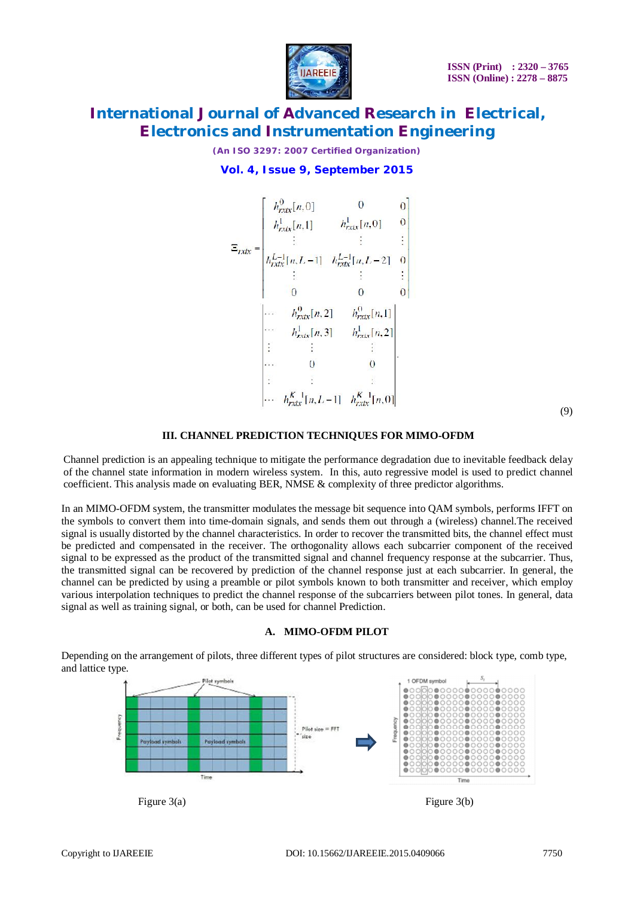

*(An ISO 3297: 2007 Certified Organization)*

### **Vol. 4, Issue 9, September 2015**

(9)

#### **III. CHANNEL PREDICTION TECHNIQUES FOR MIMO-OFDM**

Channel prediction is an appealing technique to mitigate the performance degradation due to inevitable feedback delay of the channel state information in modern wireless system. In this, auto regressive model is used to predict channel coefficient. This analysis made on evaluating BER, NMSE & complexity of three predictor algorithms.

In an MIMO-OFDM system, the transmitter modulates the message bit sequence into QAM symbols, performs IFFT on the symbols to convert them into time-domain signals, and sends them out through a (wireless) channel.The received signal is usually distorted by the channel characteristics. In order to recover the transmitted bits, the channel effect must be predicted and compensated in the receiver. The orthogonality allows each subcarrier component of the received signal to be expressed as the product of the transmitted signal and channel frequency response at the subcarrier. Thus, the transmitted signal can be recovered by prediction of the channel response just at each subcarrier. In general, the channel can be predicted by using a preamble or pilot symbols known to both transmitter and receiver, which employ various interpolation techniques to predict the channel response of the subcarriers between pilot tones. In general, data signal as well as training signal, or both, can be used for channel Prediction.

#### **A. MIMO-OFDM PILOT**

1 OEDM evening ö. Frequency  $P_{\text{tot}}^{\text{c}}$  size =  $FFT$  $\bullet$  $\frac{0}{0}$ Time Figure 3(a) Figure 3(b)

Depending on the arrangement of pilots, three different types of pilot structures are considered: block type, comb type, and lattice type.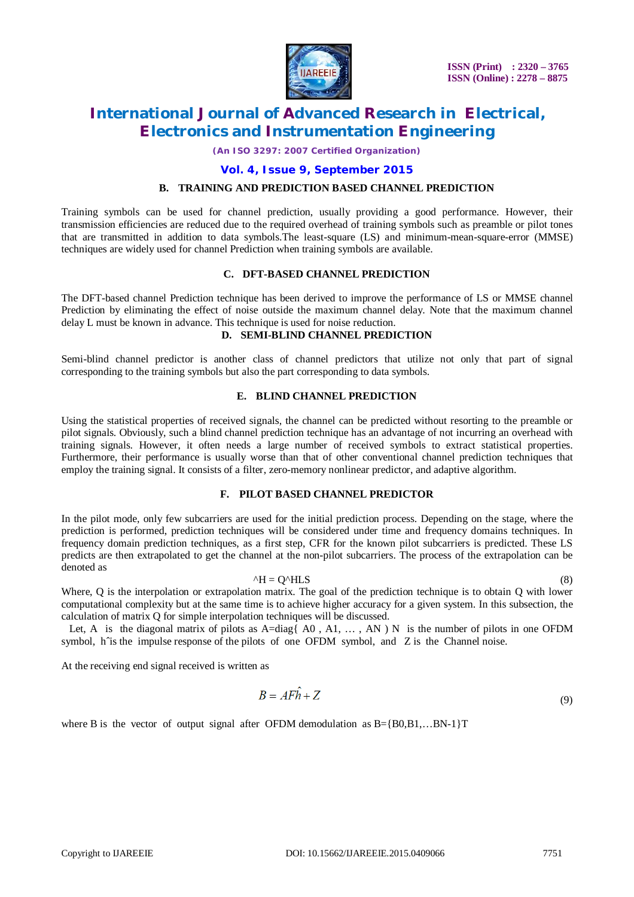

*(An ISO 3297: 2007 Certified Organization)*

#### **Vol. 4, Issue 9, September 2015**

#### **B. TRAINING AND PREDICTION BASED CHANNEL PREDICTION**

Training symbols can be used for channel prediction, usually providing a good performance. However, their transmission efficiencies are reduced due to the required overhead of training symbols such as preamble or pilot tones that are transmitted in addition to data symbols.The least-square (LS) and minimum-mean-square-error (MMSE) techniques are widely used for channel Prediction when training symbols are available.

#### **C. DFT-BASED CHANNEL PREDICTION**

The DFT-based channel Prediction technique has been derived to improve the performance of LS or MMSE channel Prediction by eliminating the effect of noise outside the maximum channel delay. Note that the maximum channel delay L must be known in advance. This technique is used for noise reduction.

#### **D. SEMI-BLIND CHANNEL PREDICTION**

Semi-blind channel predictor is another class of channel predictors that utilize not only that part of signal corresponding to the training symbols but also the part corresponding to data symbols.

#### **E. BLIND CHANNEL PREDICTION**

Using the statistical properties of received signals, the channel can be predicted without resorting to the preamble or pilot signals. Obviously, such a blind channel prediction technique has an advantage of not incurring an overhead with training signals. However, it often needs a large number of received symbols to extract statistical properties. Furthermore, their performance is usually worse than that of other conventional channel prediction techniques that employ the training signal. It consists of a filter, zero-memory nonlinear predictor, and adaptive algorithm.

#### **F. PILOT BASED CHANNEL PREDICTOR**

In the pilot mode, only few subcarriers are used for the initial prediction process. Depending on the stage, where the prediction is performed, prediction techniques will be considered under time and frequency domains techniques. In frequency domain prediction techniques, as a first step, CFR for the known pilot subcarriers is predicted. These LS predicts are then extrapolated to get the channel at the non-pilot subcarriers. The process of the extrapolation can be denoted as

#### $^{\wedge}$ H = Q $^{\wedge}$ HLS (8)

Where, Q is the interpolation or extrapolation matrix. The goal of the prediction technique is to obtain Q with lower computational complexity but at the same time is to achieve higher accuracy for a given system. In this subsection, the calculation of matrix Q for simple interpolation techniques will be discussed.

Let, A is the diagonal matrix of pilots as  $A = diag\{ A0, A1, \ldots, AN \}$  is the number of pilots in one OFDM symbol, h^is the impulse response of the pilots of one OFDM symbol, and Z is the Channel noise.

At the receiving end signal received is written as

$$
B = AF\hat{h} + Z\tag{9}
$$

where B is the vector of output signal after OFDM demodulation as  $B = \{B0, B1, \ldots BN-1\}$ T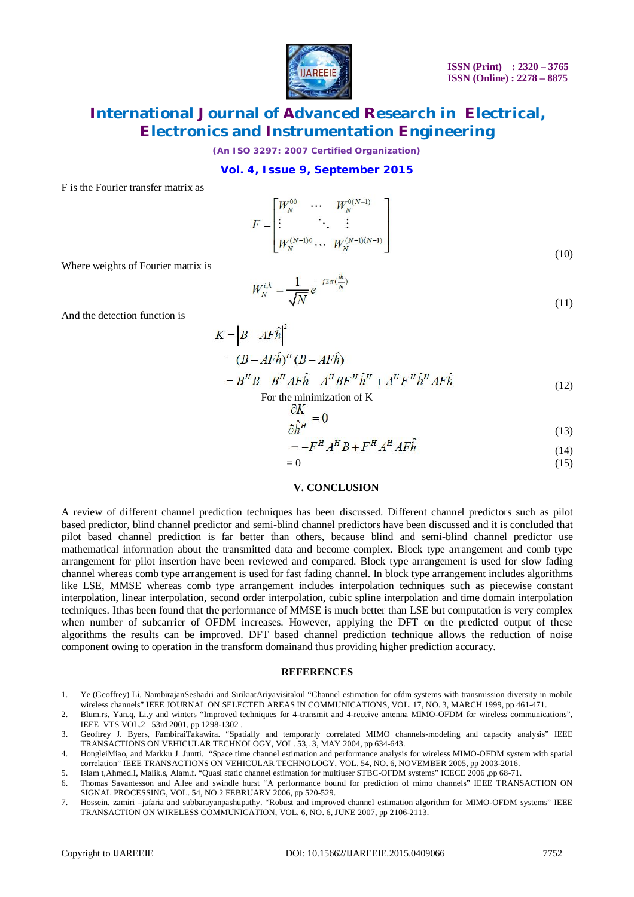

*(An ISO 3297: 2007 Certified Organization)*

#### **Vol. 4, Issue 9, September 2015**

F is the Fourier transfer matrix as

$$
F = \begin{bmatrix} W_N^{00} & \cdots & W_N^{0(N-1)} \\ \vdots & \ddots & \vdots \\ W_N^{(N-1)0} & \cdots & W_N^{(N-1)(N-1)} \end{bmatrix}
$$
(10)

Where weights of Fourier matrix is

$$
W_N^{i,k} = \frac{1}{\sqrt{N}} e^{-j2\pi(\frac{ik}{N})}
$$
\n(11)

And the detection function is

$$
K = \left| B - AF\hat{h} \right|^2
$$
  
\n
$$
- (B - AF\hat{h})^H (B - AF\hat{h})
$$
  
\n
$$
= B^H B - B^H AF\hat{h} - A^H BF^H \hat{h}^H + A^H F^H \hat{h}^H AF\hat{h}
$$
 (12)

For the minimization of K

$$
\frac{\partial K}{\partial \hat{h}^H} = 0 \tag{13}
$$

$$
=-F^{H}A^{H}B+F^{H}A^{H}AF\hat{h}
$$
\n(14)

$$
=0\tag{15}
$$

#### **V. CONCLUSION**

A review of different channel prediction techniques has been discussed. Different channel predictors such as pilot based predictor, blind channel predictor and semi-blind channel predictors have been discussed and it is concluded that pilot based channel prediction is far better than others, because blind and semi-blind channel predictor use mathematical information about the transmitted data and become complex. Block type arrangement and comb type arrangement for pilot insertion have been reviewed and compared. Block type arrangement is used for slow fading channel whereas comb type arrangement is used for fast fading channel. In block type arrangement includes algorithms like LSE, MMSE whereas comb type arrangement includes interpolation techniques such as piecewise constant interpolation, linear interpolation, second order interpolation, cubic spline interpolation and time domain interpolation techniques. Ithas been found that the performance of MMSE is much better than LSE but computation is very complex when number of subcarrier of OFDM increases. However, applying the DFT on the predicted output of these algorithms the results can be improved. DFT based channel prediction technique allows the reduction of noise component owing to operation in the transform domainand thus providing higher prediction accuracy.

#### **REFERENCES**

- 1. Ye (Geoffrey) Li, NambirajanSeshadri and SirikiatAriyavisitakul "Channel estimation for ofdm systems with transmission diversity in mobile wireless channels" IEEE JOURNAL ON SELECTED AREAS IN COMMUNICATIONS, VOL. 17, NO. 3, MARCH 1999, pp 461-471.
- 2. Blum.rs, Yan.q, Li.y and winters "Improved techniques for 4-transmit and 4-receive antenna MIMO-OFDM for wireless communications", IEEE VTS VOL.2 53rd 2001, pp 1298-1302 .

3. Geoffrey J. Byers, FambiraiTakawira. "Spatially and temporarly correlated MIMO channels-modeling and capacity analysis" IEEE TRANSACTIONS ON VEHICULAR TECHNOLOGY, VOL. 53,. 3, MAY 2004, pp 634-643.

- 4. HongleiMiao, and Markku J. Juntti. "Space time channel estimation and performance analysis for wireless MIMO-OFDM system with spatial correlation" IEEE TRANSACTIONS ON VEHICULAR TECHNOLOGY, VOL. 54, NO. 6, NOVEMBER 2005, pp 2003-2016.
- 5. Islam t,Ahmed.I, Malik.s, Alam.f. "Quasi static channel estimation for multiuser STBC-OFDM systems" ICECE 2006 ,pp 68-71.

7. Hossein, zamiri –jafaria and subbarayanpashupathy. "Robust and improved channel estimation algorithm for MIMO-OFDM systems" IEEE TRANSACTION ON WIRELESS COMMUNICATION, VOL. 6, NO. 6, JUNE 2007, pp 2106-2113.

<sup>6.</sup> Thomas Savantesson and A.lee and swindle hurst "A performance bound for prediction of mimo channels" IEEE TRANSACTION ON SIGNAL PROCESSING, VOL. 54, NO.2 FEBRUARY 2006, pp 520-529.